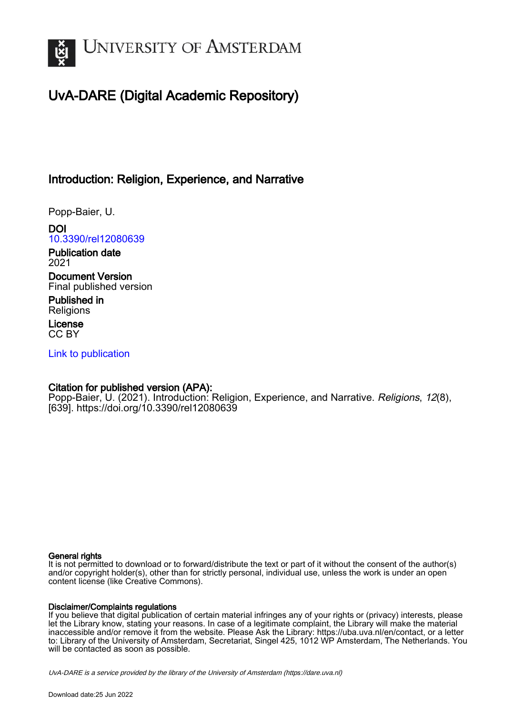

# UvA-DARE (Digital Academic Repository)

## Introduction: Religion, Experience, and Narrative

Popp-Baier, U.

DOI [10.3390/rel12080639](https://doi.org/10.3390/rel12080639)

Publication date 2021

Document Version Final published version

Published in **Religions** 

License CC BY

[Link to publication](https://dare.uva.nl/personal/pure/en/publications/introduction-religion-experience-and-narrative(f172ca3c-3be3-4009-a084-0a632f607ba3).html)

### Citation for published version (APA):

Popp-Baier, U. (2021). Introduction: Religion, Experience, and Narrative. Religions, 12(8), [639].<https://doi.org/10.3390/rel12080639>

#### General rights

It is not permitted to download or to forward/distribute the text or part of it without the consent of the author(s) and/or copyright holder(s), other than for strictly personal, individual use, unless the work is under an open content license (like Creative Commons).

#### Disclaimer/Complaints regulations

If you believe that digital publication of certain material infringes any of your rights or (privacy) interests, please let the Library know, stating your reasons. In case of a legitimate complaint, the Library will make the material inaccessible and/or remove it from the website. Please Ask the Library: https://uba.uva.nl/en/contact, or a letter to: Library of the University of Amsterdam, Secretariat, Singel 425, 1012 WP Amsterdam, The Netherlands. You will be contacted as soon as possible.

UvA-DARE is a service provided by the library of the University of Amsterdam (http*s*://dare.uva.nl)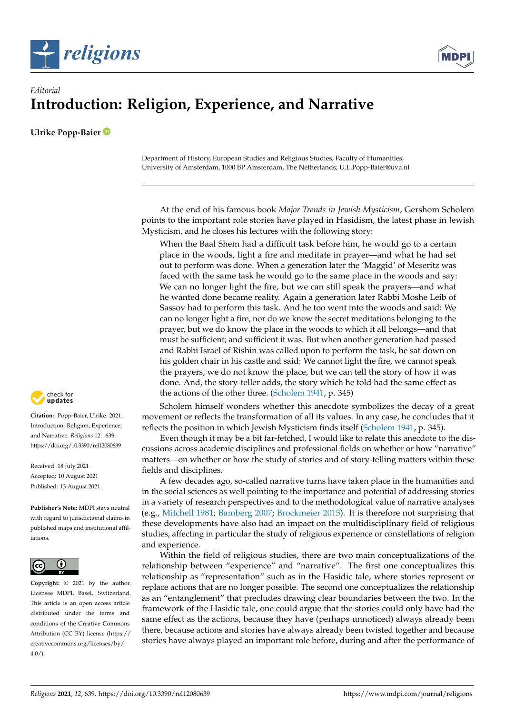



## *Editorial* **Introduction: Religion, Experience, and Narrative**

**Ulrike Popp-Baier**

Department of History, European Studies and Religious Studies, Faculty of Humanities, University of Amsterdam, 1000 BP Amsterdam, The Netherlands; U.L.Popp-Baier@uva.nl

At the end of his famous book *Major Trends in Jewish Mysticism*, Gershom Scholem points to the important role stories have played in Hasidism, the latest phase in Jewish Mysticism, and he closes his lectures with the following story:

When the Baal Shem had a difficult task before him, he would go to a certain place in the woods, light a fire and meditate in prayer—and what he had set out to perform was done. When a generation later the 'Maggid' of Meseritz was faced with the same task he would go to the same place in the woods and say: We can no longer light the fire, but we can still speak the prayers—and what he wanted done became reality. Again a generation later Rabbi Moshe Leib of Sassov had to perform this task. And he too went into the woods and said: We can no longer light a fire, nor do we know the secret meditations belonging to the prayer, but we do know the place in the woods to which it all belongs—and that must be sufficient; and sufficient it was. But when another generation had passed and Rabbi Israel of Rishin was called upon to perform the task, he sat down on his golden chair in his castle and said: We cannot light the fire, we cannot speak the prayers, we do not know the place, but we can tell the story of how it was done. And, the story-teller adds, the story which he told had the same effect as the actions of the other three. [\(Scholem](#page-5-0) [1941,](#page-5-0) p. 345)

Scholem himself wonders whether this anecdote symbolizes the decay of a great movement or reflects the transformation of all its values. In any case, he concludes that it reflects the position in which Jewish Mysticism finds itself [\(Scholem](#page-5-0) [1941,](#page-5-0) p. 345).

Even though it may be a bit far-fetched, I would like to relate this anecdote to the discussions across academic disciplines and professional fields on whether or how "narrative" matters—on whether or how the study of stories and of story-telling matters within these fields and disciplines.

A few decades ago, so-called narrative turns have taken place in the humanities and in the social sciences as well pointing to the importance and potential of addressing stories in a variety of research perspectives and to the methodological value of narrative analyses (e.g., [Mitchell](#page-5-1) [1981;](#page-5-1) [Bamberg](#page-5-2) [2007;](#page-5-2) [Brockmeier](#page-5-3) [2015\)](#page-5-3). It is therefore not surprising that these developments have also had an impact on the multidisciplinary field of religious studies, affecting in particular the study of religious experience or constellations of religion and experience.

Within the field of religious studies, there are two main conceptualizations of the relationship between "experience" and "narrative". The first one conceptualizes this relationship as "representation" such as in the Hasidic tale, where stories represent or replace actions that are no longer possible. The second one conceptualizes the relationship as an "entanglement" that precludes drawing clear boundaries between the two. In the framework of the Hasidic tale, one could argue that the stories could only have had the same effect as the actions, because they have (perhaps unnoticed) always already been there, because actions and stories have always already been twisted together and because stories have always played an important role before, during and after the performance of



**Citation:** Popp-Baier, Ulrike. 2021. Introduction: Religion, Experience, and Narrative. *Religions* 12: 639. <https://doi.org/10.3390/rel12080639>

Received: 18 July 2021 Accepted: 10 August 2021 Published: 13 August 2021

**Publisher's Note:** MDPI stays neutral with regard to jurisdictional claims in published maps and institutional affiliations.



**Copyright:** © 2021 by the author. Licensee MDPI, Basel, Switzerland. This article is an open access article distributed under the terms and conditions of the Creative Commons Attribution (CC BY) license (https:/[/](https://creativecommons.org/licenses/by/4.0/) [creativecommons.org/licenses/by/](https://creativecommons.org/licenses/by/4.0/)  $4.0/$ ).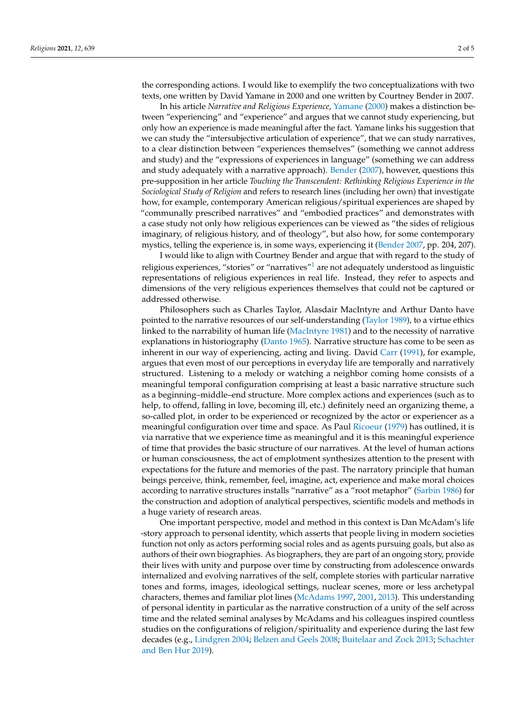the corresponding actions. I would like to exemplify the two conceptualizations with two texts, one written by David Yamane in 2000 and one written by Courtney Bender in 2007.

In his article *Narrative and Religious Experience*, [Yamane](#page-5-4) [\(2000\)](#page-5-4) makes a distinction between "experiencing" and "experience" and argues that we cannot study experiencing, but only how an experience is made meaningful after the fact. Yamane links his suggestion that we can study the "intersubjective articulation of experience", that we can study narratives, to a clear distinction between "experiences themselves" (something we cannot address and study) and the "expressions of experiences in language" (something we can address and study adequately with a narrative approach). [Bender](#page-5-5) [\(2007\)](#page-5-5), however, questions this pre-supposition in her article *Touching the Transcendent: Rethinking Religious Experience in the Sociological Study of Religion* and refers to research lines (including her own) that investigate how, for example, contemporary American religious/spiritual experiences are shaped by "communally prescribed narratives" and "embodied practices" and demonstrates with a case study not only how religious experiences can be viewed as "the sides of religious imaginary, of religious history, and of theology", but also how, for some contemporary mystics, telling the experience is, in some ways, experiencing it [\(Bender](#page-5-5) [2007,](#page-5-5) pp. 204, 207).

<span id="page-2-0"></span>I would like to align with Courtney Bender and argue that with regard to the study of religious experiences, "stories" or "narratives"[1](#page-5-6) are not adequately understood as linguistic representations of religious experiences in real life. Instead, they refer to aspects and dimensions of the very religious experiences themselves that could not be captured or addressed otherwise.

Philosophers such as Charles Taylor, Alasdair MacIntyre and Arthur Danto have pointed to the narrative resources of our self-understanding [\(Taylor](#page-5-7) [1989\)](#page-5-7), to a virtue ethics linked to the narrability of human life [\(MacIntyre](#page-5-8) [1981\)](#page-5-8) and to the necessity of narrative explanations in historiography [\(Danto](#page-5-9) [1965\)](#page-5-9). Narrative structure has come to be seen as inherent in our way of experiencing, acting and living. David [Carr](#page-5-10) [\(1991\)](#page-5-10), for example, argues that even most of our perceptions in everyday life are temporally and narratively structured. Listening to a melody or watching a neighbor coming home consists of a meaningful temporal configuration comprising at least a basic narrative structure such as a beginning–middle–end structure. More complex actions and experiences (such as to help, to offend, falling in love, becoming ill, etc.) definitely need an organizing theme, a so-called plot, in order to be experienced or recognized by the actor or experiencer as a meaningful configuration over time and space. As Paul [Ricoeur](#page-5-11) [\(1979\)](#page-5-11) has outlined, it is via narrative that we experience time as meaningful and it is this meaningful experience of time that provides the basic structure of our narratives. At the level of human actions or human consciousness, the act of emplotment synthesizes attention to the present with expectations for the future and memories of the past. The narratory principle that human beings perceive, think, remember, feel, imagine, act, experience and make moral choices according to narrative structures installs "narrative" as a "root metaphor" [\(Sarbin](#page-5-12) [1986\)](#page-5-12) for the construction and adoption of analytical perspectives, scientific models and methods in a huge variety of research areas.

One important perspective, model and method in this context is Dan McAdam's life -story approach to personal identity, which asserts that people living in modern societies function not only as actors performing social roles and as agents pursuing goals, but also as authors of their own biographies. As biographers, they are part of an ongoing story, provide their lives with unity and purpose over time by constructing from adolescence onwards internalized and evolving narratives of the self, complete stories with particular narrative tones and forms, images, ideological settings, nuclear scenes, more or less archetypal characters, themes and familiar plot lines [\(McAdams](#page-5-13) [1997,](#page-5-13) [2001,](#page-5-14) [2013\)](#page-5-15). This understanding of personal identity in particular as the narrative construction of a unity of the self across time and the related seminal analyses by McAdams and his colleagues inspired countless studies on the configurations of religion/spirituality and experience during the last few decades (e.g., [Lindgren](#page-5-16) [2004;](#page-5-16) [Belzen and Geels](#page-5-17) [2008;](#page-5-17) [Buitelaar and Zock](#page-5-18) [2013;](#page-5-18) [Schachter](#page-5-19) [and Ben Hur](#page-5-19) [2019\)](#page-5-19).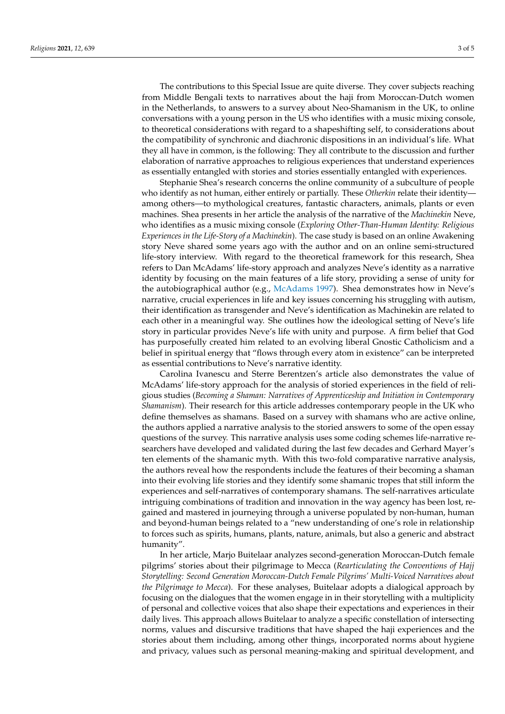The contributions to this Special Issue are quite diverse. They cover subjects reaching from Middle Bengali texts to narratives about the haji from Moroccan-Dutch women in the Netherlands, to answers to a survey about Neo-Shamanism in the UK, to online conversations with a young person in the US who identifies with a music mixing console, to theoretical considerations with regard to a shapeshifting self, to considerations about the compatibility of synchronic and diachronic dispositions in an individual's life. What they all have in common, is the following: They all contribute to the discussion and further elaboration of narrative approaches to religious experiences that understand experiences as essentially entangled with stories and stories essentially entangled with experiences.

Stephanie Shea's research concerns the online community of a subculture of people who identify as not human, either entirely or partially. These *Otherkin* relate their identity among others—to mythological creatures, fantastic characters, animals, plants or even machines. Shea presents in her article the analysis of the narrative of the *Machinekin* Neve, who identifies as a music mixing console (*Exploring Other-Than-Human Identity: Religious Experiences in the Life-Story of a Machinekin*). The case study is based on an online Awakening story Neve shared some years ago with the author and on an online semi-structured life-story interview. With regard to the theoretical framework for this research, Shea refers to Dan McAdams' life-story approach and analyzes Neve's identity as a narrative identity by focusing on the main features of a life story, providing a sense of unity for the autobiographical author (e.g., [McAdams](#page-5-13) [1997\)](#page-5-13). Shea demonstrates how in Neve's narrative, crucial experiences in life and key issues concerning his struggling with autism, their identification as transgender and Neve's identification as Machinekin are related to each other in a meaningful way. She outlines how the ideological setting of Neve's life story in particular provides Neve's life with unity and purpose. A firm belief that God has purposefully created him related to an evolving liberal Gnostic Catholicism and a belief in spiritual energy that "flows through every atom in existence" can be interpreted as essential contributions to Neve's narrative identity.

Carolina Ivanescu and Sterre Berentzen's article also demonstrates the value of McAdams' life-story approach for the analysis of storied experiences in the field of religious studies (*Becoming a Shaman: Narratives of Apprenticeship and Initiation in Contemporary Shamanism*). Their research for this article addresses contemporary people in the UK who define themselves as shamans. Based on a survey with shamans who are active online, the authors applied a narrative analysis to the storied answers to some of the open essay questions of the survey. This narrative analysis uses some coding schemes life-narrative researchers have developed and validated during the last few decades and Gerhard Mayer's ten elements of the shamanic myth. With this two-fold comparative narrative analysis, the authors reveal how the respondents include the features of their becoming a shaman into their evolving life stories and they identify some shamanic tropes that still inform the experiences and self-narratives of contemporary shamans. The self-narratives articulate intriguing combinations of tradition and innovation in the way agency has been lost, regained and mastered in journeying through a universe populated by non-human, human and beyond-human beings related to a "new understanding of one's role in relationship to forces such as spirits, humans, plants, nature, animals, but also a generic and abstract humanity".

In her article, Marjo Buitelaar analyzes second-generation Moroccan-Dutch female pilgrims' stories about their pilgrimage to Mecca (*Rearticulating the Conventions of Hajj Storytelling: Second Generation Moroccan-Dutch Female Pilgrims' Multi-Voiced Narratives about the Pilgrimage to Mecca*). For these analyses, Buitelaar adopts a dialogical approach by focusing on the dialogues that the women engage in in their storytelling with a multiplicity of personal and collective voices that also shape their expectations and experiences in their daily lives. This approach allows Buitelaar to analyze a specific constellation of intersecting norms, values and discursive traditions that have shaped the haji experiences and the stories about them including, among other things, incorporated norms about hygiene and privacy, values such as personal meaning-making and spiritual development, and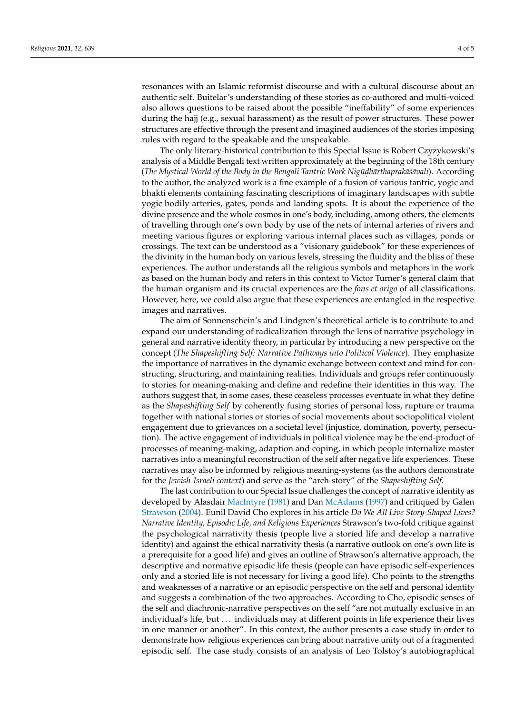resonances with an Islamic reformist discourse and with a cultural discourse about an authentic self. Buitelar's understanding of these stories as co-authored and multi-voiced also allows questions to be raised about the possible "ineffability" of some experiences during the hajj (e.g., sexual harassment) as the result of power structures. These power structures are effective through the present and imagined audiences of the stories imposing rules with regard to the speakable and the unspeakable.

The only literary-historical contribution to this Special Issue is Robert Czyżykowski's analysis of a Middle Bengali text written approximately at the beginning of the 18th century (*The Mystical World of the Body in the Bengali Tantric Work Nigu¯d. harthaprak ¯ a´s¯ avali ¯* ). According to the author, the analyzed work is a fine example of a fusion of various tantric, yogic and bhakti elements containing fascinating descriptions of imaginary landscapes with subtle yogic bodily arteries, gates, ponds and landing spots. It is about the experience of the divine presence and the whole cosmos in one's body, including, among others, the elements of travelling through one's own body by use of the nets of internal arteries of rivers and meeting various figures or exploring various internal places such as villages, ponds or crossings. The text can be understood as a "visionary guidebook" for these experiences of the divinity in the human body on various levels, stressing the fluidity and the bliss of these experiences. The author understands all the religious symbols and metaphors in the work as based on the human body and refers in this context to Victor Turner's general claim that the human organism and its crucial experiences are the *fons et origo* of all classifications. However, here, we could also argue that these experiences are entangled in the respective images and narratives.

The aim of Sonnenschein's and Lindgren's theoretical article is to contribute to and expand our understanding of radicalization through the lens of narrative psychology in general and narrative identity theory, in particular by introducing a new perspective on the concept (*The Shapeshifting Self: Narrative Pathways into Political Violence*). They emphasize the importance of narratives in the dynamic exchange between context and mind for constructing, structuring, and maintaining realities. Individuals and groups refer continuously to stories for meaning-making and define and redefine their identities in this way. The authors suggest that, in some cases, these ceaseless processes eventuate in what they define as the *Shapeshifting Self* by coherently fusing stories of personal loss, rupture or trauma together with national stories or stories of social movements about sociopolitical violent engagement due to grievances on a societal level (injustice, domination, poverty, persecution). The active engagement of individuals in political violence may be the end-product of processes of meaning-making, adaption and coping, in which people internalize master narratives into a meaningful reconstruction of the self after negative life experiences. These narratives may also be informed by religious meaning-systems (as the authors demonstrate for the *Jewish-Israeli context*) and serve as the "arch-story" of the *Shapeshifting Self.*

The last contribution to our Special Issue challenges the concept of narrative identity as developed by Alasdair [MacIntyre](#page-5-8) [\(1981\)](#page-5-8) and Dan [McAdams](#page-5-13) [\(1997\)](#page-5-13) and critiqued by Galen [Strawson](#page-5-20) [\(2004\)](#page-5-20). Eunil David Cho explores in his article *Do We All Live Story-Shaped Lives? Narrative Identity, Episodic Life, and Religious Experiences* Strawson's two-fold critique against the psychological narrativity thesis (people live a storied life and develop a narrative identity) and against the ethical narrativity thesis (a narrative outlook on one's own life is a prerequisite for a good life) and gives an outline of Strawson's alternative approach, the descriptive and normative episodic life thesis (people can have episodic self-experiences only and a storied life is not necessary for living a good life). Cho points to the strengths and weaknesses of a narrative or an episodic perspective on the self and personal identity and suggests a combination of the two approaches. According to Cho, episodic senses of the self and diachronic-narrative perspectives on the self "are not mutually exclusive in an individual's life, but . . . individuals may at different points in life experience their lives in one manner or another". In this context, the author presents a case study in order to demonstrate how religious experiences can bring about narrative unity out of a fragmented episodic self. The case study consists of an analysis of Leo Tolstoy's autobiographical